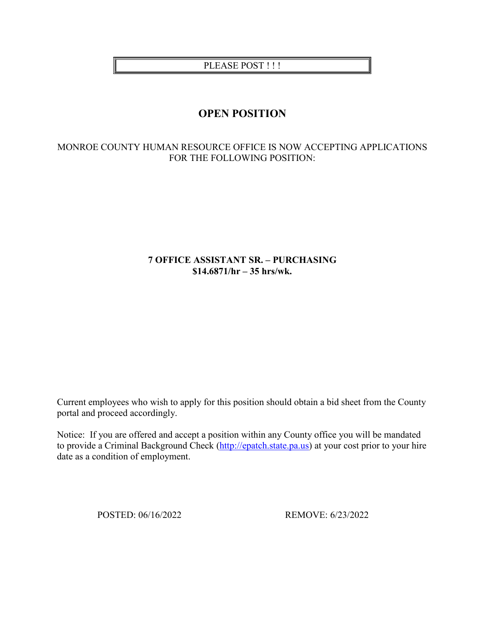PLEASE POST !!!

# **OPEN POSITION**

## MONROE COUNTY HUMAN RESOURCE OFFICE IS NOW ACCEPTING APPLICATIONS FOR THE FOLLOWING POSITION:

## **7 OFFICE ASSISTANT SR. – PURCHASING \$14.6871/hr – 35 hrs/wk.**

Current employees who wish to apply for this position should obtain a bid sheet from the County portal and proceed accordingly.

Notice: If you are offered and accept a position within any County office you will be mandated to provide a Criminal Background Check [\(http://epatch.state.pa.us\)](http://epatch.state.pa.us/) at your cost prior to your hire date as a condition of employment.

POSTED: 06/16/2022 REMOVE: 6/23/2022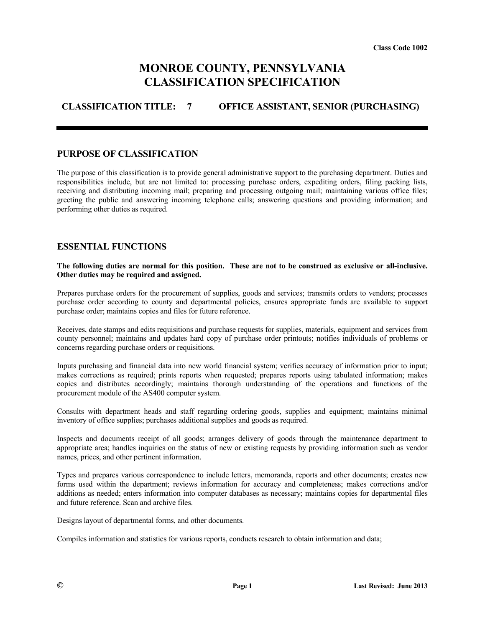# **MONROE COUNTY, PENNSYLVANIA CLASSIFICATION SPECIFICATION**

# **CLASSIFICATION TITLE: 7 OFFICE ASSISTANT, SENIOR (PURCHASING)**

#### **PURPOSE OF CLASSIFICATION**

The purpose of this classification is to provide general administrative support to the purchasing department. Duties and responsibilities include, but are not limited to: processing purchase orders, expediting orders, filing packing lists, receiving and distributing incoming mail; preparing and processing outgoing mail; maintaining various office files; greeting the public and answering incoming telephone calls; answering questions and providing information; and performing other duties as required.

#### **ESSENTIAL FUNCTIONS**

#### **The following duties are normal for this position. These are not to be construed as exclusive or all-inclusive. Other duties may be required and assigned.**

Prepares purchase orders for the procurement of supplies, goods and services; transmits orders to vendors; processes purchase order according to county and departmental policies, ensures appropriate funds are available to support purchase order; maintains copies and files for future reference.

Receives, date stamps and edits requisitions and purchase requests for supplies, materials, equipment and services from county personnel; maintains and updates hard copy of purchase order printouts; notifies individuals of problems or concerns regarding purchase orders or requisitions.

Inputs purchasing and financial data into new world financial system; verifies accuracy of information prior to input; makes corrections as required; prints reports when requested; prepares reports using tabulated information; makes copies and distributes accordingly; maintains thorough understanding of the operations and functions of the procurement module of the AS400 computer system.

Consults with department heads and staff regarding ordering goods, supplies and equipment; maintains minimal inventory of office supplies; purchases additional supplies and goods as required.

Inspects and documents receipt of all goods; arranges delivery of goods through the maintenance department to appropriate area; handles inquiries on the status of new or existing requests by providing information such as vendor names, prices, and other pertinent information.

Types and prepares various correspondence to include letters, memoranda, reports and other documents; creates new forms used within the department; reviews information for accuracy and completeness; makes corrections and/or additions as needed; enters information into computer databases as necessary; maintains copies for departmental files and future reference. Scan and archive files.

Designs layout of departmental forms, and other documents.

Compiles information and statistics for various reports, conducts research to obtain information and data;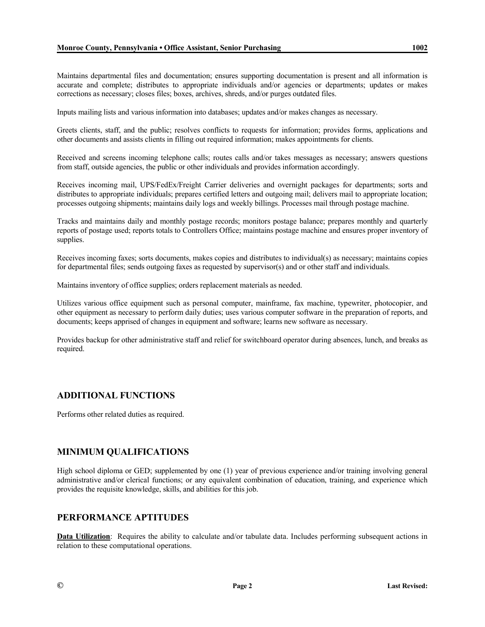Maintains departmental files and documentation; ensures supporting documentation is present and all information is accurate and complete; distributes to appropriate individuals and/or agencies or departments; updates or makes corrections as necessary; closes files; boxes, archives, shreds, and/or purges outdated files.

Inputs mailing lists and various information into databases; updates and/or makes changes as necessary.

Greets clients, staff, and the public; resolves conflicts to requests for information; provides forms, applications and other documents and assists clients in filling out required information; makes appointments for clients.

Received and screens incoming telephone calls; routes calls and/or takes messages as necessary; answers questions from staff, outside agencies, the public or other individuals and provides information accordingly.

Receives incoming mail, UPS/FedEx/Freight Carrier deliveries and overnight packages for departments; sorts and distributes to appropriate individuals; prepares certified letters and outgoing mail; delivers mail to appropriate location; processes outgoing shipments; maintains daily logs and weekly billings. Processes mail through postage machine.

Tracks and maintains daily and monthly postage records; monitors postage balance; prepares monthly and quarterly reports of postage used; reports totals to Controllers Office; maintains postage machine and ensures proper inventory of supplies.

Receives incoming faxes; sorts documents, makes copies and distributes to individual(s) as necessary; maintains copies for departmental files; sends outgoing faxes as requested by supervisor(s) and or other staff and individuals.

Maintains inventory of office supplies; orders replacement materials as needed.

Utilizes various office equipment such as personal computer, mainframe, fax machine, typewriter, photocopier, and other equipment as necessary to perform daily duties; uses various computer software in the preparation of reports, and documents; keeps apprised of changes in equipment and software; learns new software as necessary.

Provides backup for other administrative staff and relief for switchboard operator during absences, lunch, and breaks as required.

## **ADDITIONAL FUNCTIONS**

Performs other related duties as required.

## **MINIMUM QUALIFICATIONS**

High school diploma or GED; supplemented by one (1) year of previous experience and/or training involving general administrative and/or clerical functions; or any equivalent combination of education, training, and experience which provides the requisite knowledge, skills, and abilities for this job.

## **PERFORMANCE APTITUDES**

**Data Utilization**: Requires the ability to calculate and/or tabulate data. Includes performing subsequent actions in relation to these computational operations.